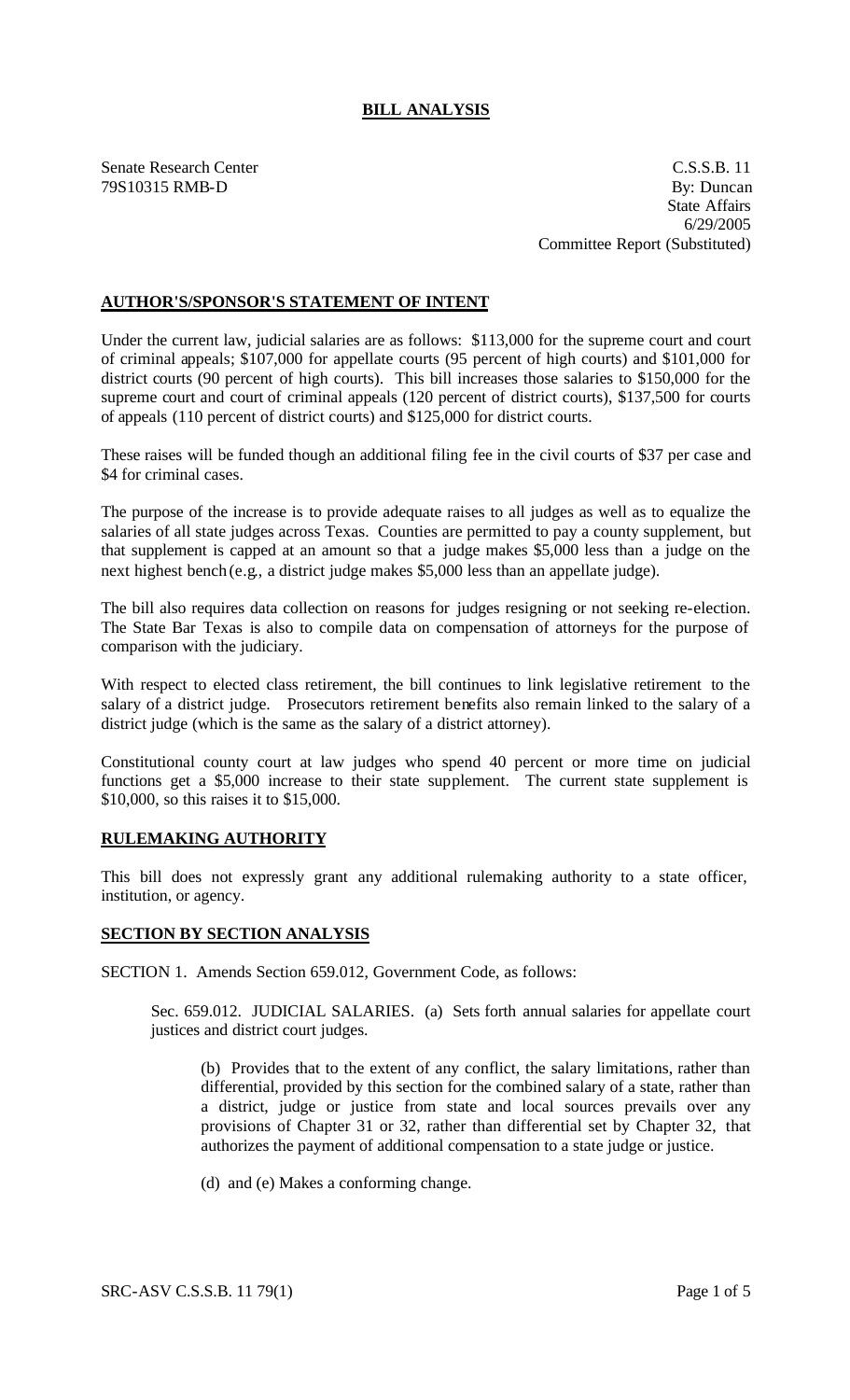# **BILL ANALYSIS**

Senate Research Center Casses and C.S.S.B. 11 79S10315 RMB-D By: Duncan State Affairs 6/29/2005 Committee Report (Substituted)

## **AUTHOR'S/SPONSOR'S STATEMENT OF INTENT**

Under the current law, judicial salaries are as follows: \$113,000 for the supreme court and court of criminal appeals; \$107,000 for appellate courts (95 percent of high courts) and \$101,000 for district courts (90 percent of high courts). This bill increases those salaries to \$150,000 for the supreme court and court of criminal appeals (120 percent of district courts), \$137,500 for courts of appeals (110 percent of district courts) and \$125,000 for district courts.

These raises will be funded though an additional filing fee in the civil courts of \$37 per case and \$4 for criminal cases.

The purpose of the increase is to provide adequate raises to all judges as well as to equalize the salaries of all state judges across Texas. Counties are permitted to pay a county supplement, but that supplement is capped at an amount so that a judge makes \$5,000 less than a judge on the next highest bench (e.g., a district judge makes \$5,000 less than an appellate judge).

The bill also requires data collection on reasons for judges resigning or not seeking re-election. The State Bar Texas is also to compile data on compensation of attorneys for the purpose of comparison with the judiciary.

With respect to elected class retirement, the bill continues to link legislative retirement to the salary of a district judge. Prosecutors retirement benefits also remain linked to the salary of a district judge (which is the same as the salary of a district attorney).

Constitutional county court at law judges who spend 40 percent or more time on judicial functions get a \$5,000 increase to their state supplement. The current state supplement is \$10,000, so this raises it to \$15,000.

### **RULEMAKING AUTHORITY**

This bill does not expressly grant any additional rulemaking authority to a state officer, institution, or agency.

#### **SECTION BY SECTION ANALYSIS**

SECTION 1. Amends Section 659.012, Government Code, as follows:

Sec. 659.012. JUDICIAL SALARIES. (a) Sets forth annual salaries for appellate court justices and district court judges.

(b) Provides that to the extent of any conflict, the salary limitations, rather than differential, provided by this section for the combined salary of a state, rather than a district, judge or justice from state and local sources prevails over any provisions of Chapter 31 or 32, rather than differential set by Chapter 32, that authorizes the payment of additional compensation to a state judge or justice.

(d) and (e) Makes a conforming change.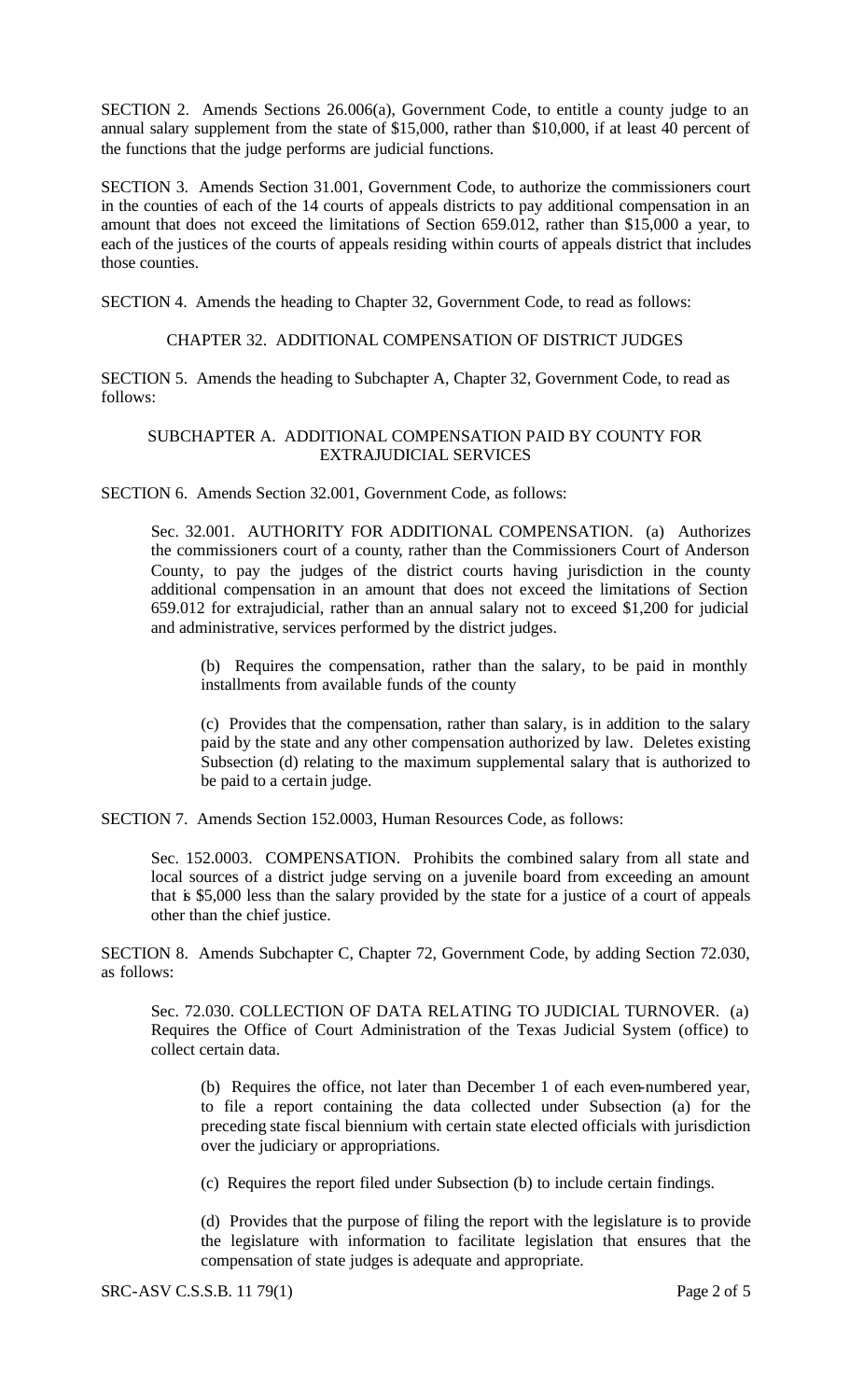SECTION 2. Amends Sections 26.006(a), Government Code, to entitle a county judge to an annual salary supplement from the state of \$15,000, rather than \$10,000, if at least 40 percent of the functions that the judge performs are judicial functions.

SECTION 3. Amends Section 31.001, Government Code, to authorize the commissioners court in the counties of each of the 14 courts of appeals districts to pay additional compensation in an amount that does not exceed the limitations of Section 659.012, rather than \$15,000 a year, to each of the justices of the courts of appeals residing within courts of appeals district that includes those counties.

SECTION 4. Amends the heading to Chapter 32, Government Code, to read as follows:

### CHAPTER 32. ADDITIONAL COMPENSATION OF DISTRICT JUDGES

SECTION 5. Amends the heading to Subchapter A, Chapter 32, Government Code, to read as follows:

### SUBCHAPTER A. ADDITIONAL COMPENSATION PAID BY COUNTY FOR EXTRAJUDICIAL SERVICES

SECTION 6. Amends Section 32.001, Government Code, as follows:

Sec. 32.001. AUTHORITY FOR ADDITIONAL COMPENSATION. (a) Authorizes the commissioners court of a county, rather than the Commissioners Court of Anderson County, to pay the judges of the district courts having jurisdiction in the county additional compensation in an amount that does not exceed the limitations of Section 659.012 for extrajudicial, rather than an annual salary not to exceed \$1,200 for judicial and administrative, services performed by the district judges.

(b) Requires the compensation, rather than the salary, to be paid in monthly installments from available funds of the county

(c) Provides that the compensation, rather than salary, is in addition to the salary paid by the state and any other compensation authorized by law. Deletes existing Subsection (d) relating to the maximum supplemental salary that is authorized to be paid to a certain judge.

SECTION 7. Amends Section 152.0003, Human Resources Code, as follows:

Sec. 152.0003. COMPENSATION. Prohibits the combined salary from all state and local sources of a district judge serving on a juvenile board from exceeding an amount that is \$5,000 less than the salary provided by the state for a justice of a court of appeals other than the chief justice.

SECTION 8. Amends Subchapter C, Chapter 72, Government Code, by adding Section 72.030, as follows:

Sec. 72.030. COLLECTION OF DATA RELATING TO JUDICIAL TURNOVER. (a) Requires the Office of Court Administration of the Texas Judicial System (office) to collect certain data.

(b) Requires the office, not later than December 1 of each even-numbered year, to file a report containing the data collected under Subsection (a) for the preceding state fiscal biennium with certain state elected officials with jurisdiction over the judiciary or appropriations.

(c) Requires the report filed under Subsection (b) to include certain findings.

(d) Provides that the purpose of filing the report with the legislature is to provide the legislature with information to facilitate legislation that ensures that the compensation of state judges is adequate and appropriate.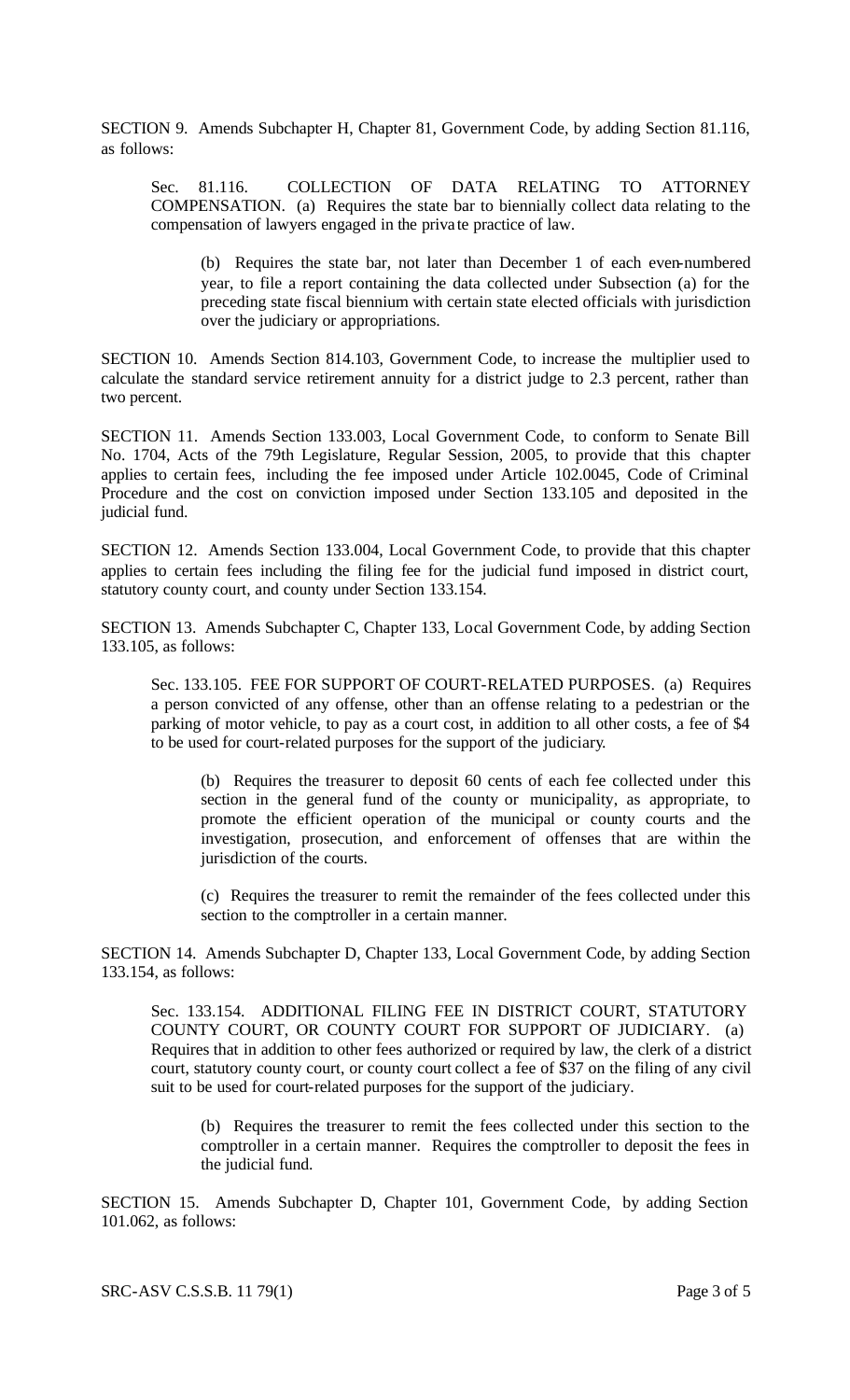SECTION 9. Amends Subchapter H, Chapter 81, Government Code, by adding Section 81.116, as follows:

Sec. 81.116. COLLECTION OF DATA RELATING TO ATTORNEY COMPENSATION. (a) Requires the state bar to biennially collect data relating to the compensation of lawyers engaged in the priva te practice of law.

(b) Requires the state bar, not later than December 1 of each even-numbered year, to file a report containing the data collected under Subsection (a) for the preceding state fiscal biennium with certain state elected officials with jurisdiction over the judiciary or appropriations.

SECTION 10. Amends Section 814.103, Government Code, to increase the multiplier used to calculate the standard service retirement annuity for a district judge to 2.3 percent, rather than two percent.

SECTION 11. Amends Section 133.003, Local Government Code, to conform to Senate Bill No. 1704, Acts of the 79th Legislature, Regular Session, 2005, to provide that this chapter applies to certain fees, including the fee imposed under Article 102.0045, Code of Criminal Procedure and the cost on conviction imposed under Section 133.105 and deposited in the judicial fund.

SECTION 12. Amends Section 133.004, Local Government Code, to provide that this chapter applies to certain fees including the filing fee for the judicial fund imposed in district court, statutory county court, and county under Section 133.154.

SECTION 13. Amends Subchapter C, Chapter 133, Local Government Code, by adding Section 133.105, as follows:

Sec. 133.105. FEE FOR SUPPORT OF COURT-RELATED PURPOSES. (a) Requires a person convicted of any offense, other than an offense relating to a pedestrian or the parking of motor vehicle, to pay as a court cost, in addition to all other costs, a fee of \$4 to be used for court-related purposes for the support of the judiciary.

(b) Requires the treasurer to deposit 60 cents of each fee collected under this section in the general fund of the county or municipality, as appropriate, to promote the efficient operation of the municipal or county courts and the investigation, prosecution, and enforcement of offenses that are within the jurisdiction of the courts.

(c) Requires the treasurer to remit the remainder of the fees collected under this section to the comptroller in a certain manner.

SECTION 14. Amends Subchapter D, Chapter 133, Local Government Code, by adding Section 133.154, as follows:

Sec. 133.154. ADDITIONAL FILING FEE IN DISTRICT COURT, STATUTORY COUNTY COURT, OR COUNTY COURT FOR SUPPORT OF JUDICIARY. (a) Requires that in addition to other fees authorized or required by law, the clerk of a district court, statutory county court, or county court collect a fee of \$37 on the filing of any civil suit to be used for court-related purposes for the support of the judiciary.

(b) Requires the treasurer to remit the fees collected under this section to the comptroller in a certain manner. Requires the comptroller to deposit the fees in the judicial fund.

SECTION 15. Amends Subchapter D, Chapter 101, Government Code, by adding Section 101.062, as follows:

SRC-ASV C.S.S.B. 11 79(1) Page 3 of 5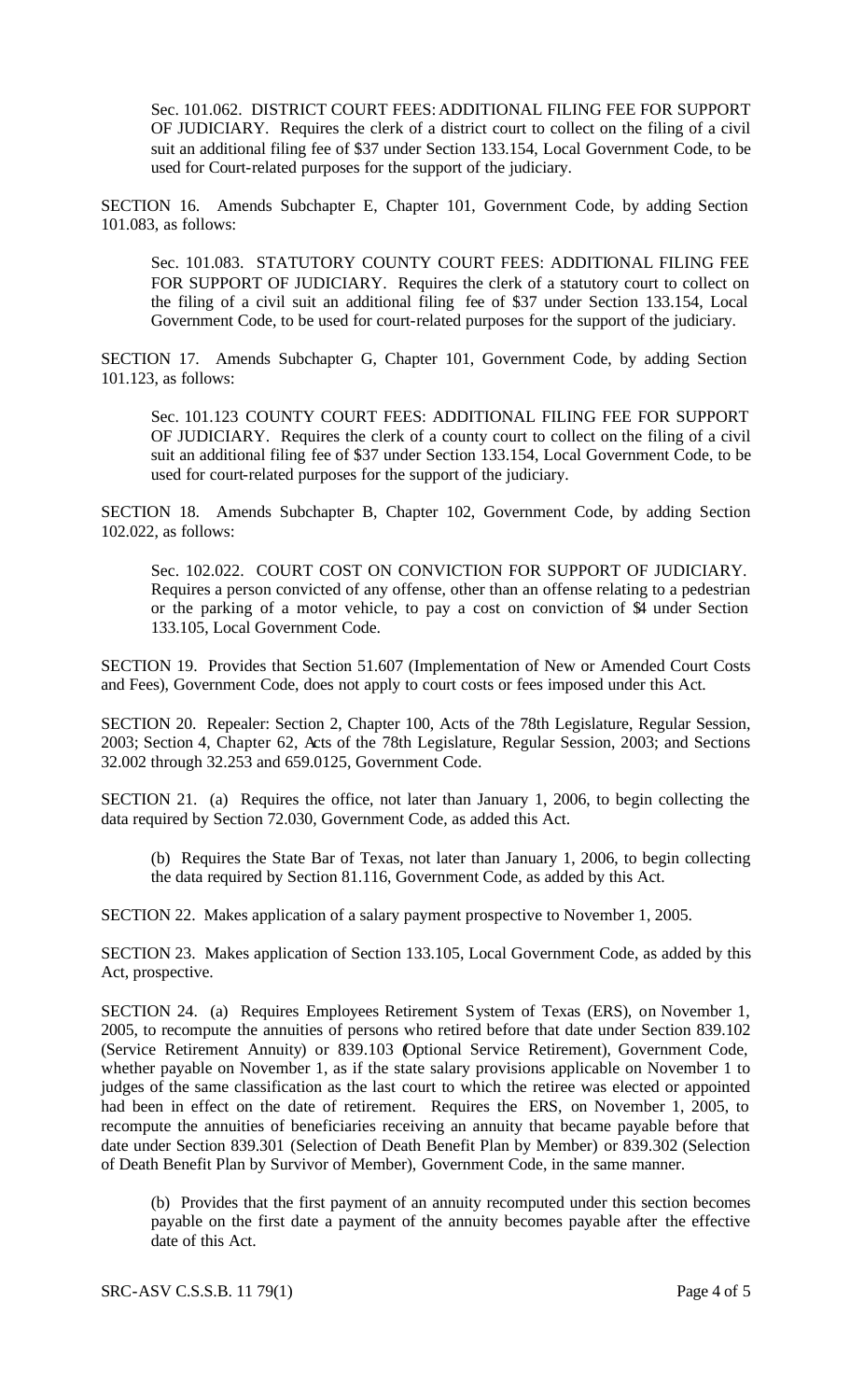Sec. 101.062. DISTRICT COURT FEES: ADDITIONAL FILING FEE FOR SUPPORT OF JUDICIARY. Requires the clerk of a district court to collect on the filing of a civil suit an additional filing fee of \$37 under Section 133.154, Local Government Code, to be used for Court-related purposes for the support of the judiciary.

SECTION 16. Amends Subchapter E, Chapter 101, Government Code, by adding Section 101.083, as follows:

Sec. 101.083. STATUTORY COUNTY COURT FEES: ADDITIONAL FILING FEE FOR SUPPORT OF JUDICIARY. Requires the clerk of a statutory court to collect on the filing of a civil suit an additional filing fee of \$37 under Section 133.154, Local Government Code, to be used for court-related purposes for the support of the judiciary.

SECTION 17. Amends Subchapter G, Chapter 101, Government Code, by adding Section 101.123, as follows:

Sec. 101.123 COUNTY COURT FEES: ADDITIONAL FILING FEE FOR SUPPORT OF JUDICIARY. Requires the clerk of a county court to collect on the filing of a civil suit an additional filing fee of \$37 under Section 133.154, Local Government Code, to be used for court-related purposes for the support of the judiciary.

SECTION 18. Amends Subchapter B, Chapter 102, Government Code, by adding Section 102.022, as follows:

Sec. 102.022. COURT COST ON CONVICTION FOR SUPPORT OF JUDICIARY. Requires a person convicted of any offense, other than an offense relating to a pedestrian or the parking of a motor vehicle, to pay a cost on conviction of \$4 under Section 133.105, Local Government Code.

SECTION 19. Provides that Section 51.607 (Implementation of New or Amended Court Costs and Fees), Government Code, does not apply to court costs or fees imposed under this Act.

SECTION 20. Repealer: Section 2, Chapter 100, Acts of the 78th Legislature, Regular Session, 2003; Section 4, Chapter 62, Acts of the 78th Legislature, Regular Session, 2003; and Sections 32.002 through 32.253 and 659.0125, Government Code.

SECTION 21. (a) Requires the office, not later than January 1, 2006, to begin collecting the data required by Section 72.030, Government Code, as added this Act.

(b) Requires the State Bar of Texas, not later than January 1, 2006, to begin collecting the data required by Section 81.116, Government Code, as added by this Act.

SECTION 22. Makes application of a salary payment prospective to November 1, 2005.

SECTION 23. Makes application of Section 133.105, Local Government Code, as added by this Act, prospective.

SECTION 24. (a) Requires Employees Retirement System of Texas (ERS), on November 1, 2005, to recompute the annuities of persons who retired before that date under Section 839.102 (Service Retirement Annuity) or 839.103 (Optional Service Retirement), Government Code, whether payable on November 1, as if the state salary provisions applicable on November 1 to judges of the same classification as the last court to which the retiree was elected or appointed had been in effect on the date of retirement. Requires the ERS, on November 1, 2005, to recompute the annuities of beneficiaries receiving an annuity that became payable before that date under Section 839.301 (Selection of Death Benefit Plan by Member) or 839.302 (Selection of Death Benefit Plan by Survivor of Member), Government Code, in the same manner.

(b) Provides that the first payment of an annuity recomputed under this section becomes payable on the first date a payment of the annuity becomes payable after the effective date of this Act.